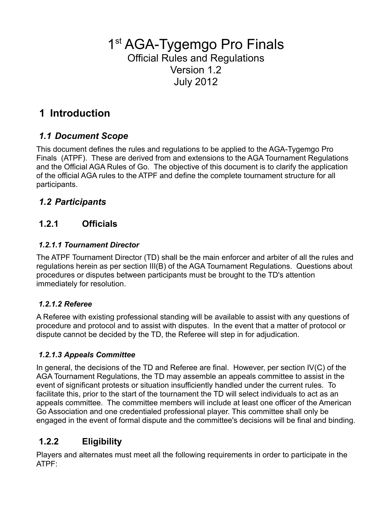1<sup>st</sup> AGA-Tygemgo Pro Finals Official Rules and Regulations Version 1.2 July 2012

# **1 Introduction**

### *1.1 Document Scope*

This document defines the rules and regulations to be applied to the AGA-Tygemgo Pro Finals (ATPF). These are derived from and extensions to the AGA Tournament Regulations and the Official AGA Rules of Go. The objective of this document is to clarify the application of the official AGA rules to the ATPF and define the complete tournament structure for all participants.

### *1.2 Participants*

### **1.2.1 Officials**

#### *1.2.1.1 Tournament Director*

The ATPF Tournament Director (TD) shall be the main enforcer and arbiter of all the rules and regulations herein as per section III(B) of the AGA Tournament Regulations. Questions about procedures or disputes between participants must be brought to the TD's attention immediately for resolution.

#### *1.2.1.2 Referee*

A Referee with existing professional standing will be available to assist with any questions of procedure and protocol and to assist with disputes. In the event that a matter of protocol or dispute cannot be decided by the TD, the Referee will step in for adjudication.

#### *1.2.1.3 Appeals Committee*

In general, the decisions of the TD and Referee are final. However, per section IV(C) of the AGA Tournament Regulations, the TD may assemble an appeals committee to assist in the event of significant protests or situation insufficiently handled under the current rules. To facilitate this, prior to the start of the tournament the TD will select individuals to act as an appeals committee. The committee members will include at least one officer of the American Go Association and one credentialed professional player. This committee shall only be engaged in the event of formal dispute and the committee's decisions will be final and binding.

## **1.2.2 Eligibility**

Players and alternates must meet all the following requirements in order to participate in the ATPF: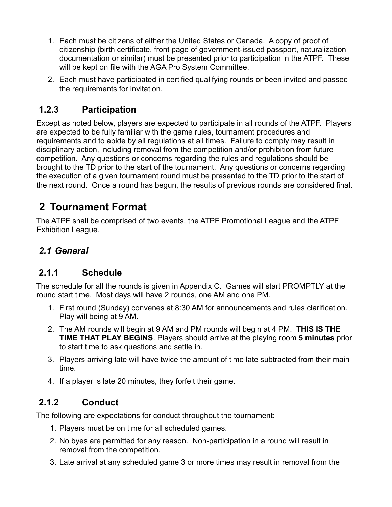- 1. Each must be citizens of either the United States or Canada. A copy of proof of citizenship (birth certificate, front page of government-issued passport, naturalization documentation or similar) must be presented prior to participation in the ATPF. These will be kept on file with the AGA Pro System Committee.
- 2. Each must have participated in certified qualifying rounds or been invited and passed the requirements for invitation.

### **1.2.3 Participation**

Except as noted below, players are expected to participate in all rounds of the ATPF. Players are expected to be fully familiar with the game rules, tournament procedures and requirements and to abide by all regulations at all times. Failure to comply may result in disciplinary action, including removal from the competition and/or prohibition from future competition. Any questions or concerns regarding the rules and regulations should be brought to the TD prior to the start of the tournament. Any questions or concerns regarding the execution of a given tournament round must be presented to the TD prior to the start of the next round. Once a round has begun, the results of previous rounds are considered final.

# **2 Tournament Format**

The ATPF shall be comprised of two events, the ATPF Promotional League and the ATPF Exhibition League.

### *2.1 General*

### **2.1.1 Schedule**

The schedule for all the rounds is given in Appendix C. Games will start PROMPTLY at the round start time. Most days will have 2 rounds, one AM and one PM.

- 1. First round (Sunday) convenes at 8:30 AM for announcements and rules clarification. Play will being at 9 AM.
- 2. The AM rounds will begin at 9 AM and PM rounds will begin at 4 PM. **THIS IS THE TIME THAT PLAY BEGINS**. Players should arrive at the playing room **5 minutes** prior to start time to ask questions and settle in.
- 3. Players arriving late will have twice the amount of time late subtracted from their main time.
- 4. If a player is late 20 minutes, they forfeit their game.

## **2.1.2 Conduct**

The following are expectations for conduct throughout the tournament:

- 1. Players must be on time for all scheduled games.
- 2. No byes are permitted for any reason. Non-participation in a round will result in removal from the competition.
- 3. Late arrival at any scheduled game 3 or more times may result in removal from the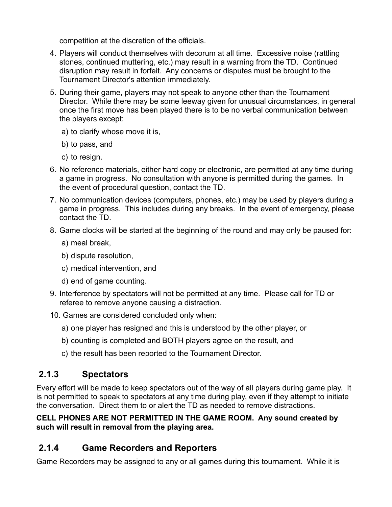competition at the discretion of the officials.

- 4. Players will conduct themselves with decorum at all time. Excessive noise (rattling stones, continued muttering, etc.) may result in a warning from the TD. Continued disruption may result in forfeit. Any concerns or disputes must be brought to the Tournament Director's attention immediately.
- 5. During their game, players may not speak to anyone other than the Tournament Director. While there may be some leeway given for unusual circumstances, in general once the first move has been played there is to be no verbal communication between the players except:
	- a) to clarify whose move it is,
	- b) to pass, and
	- c) to resign.
- 6. No reference materials, either hard copy or electronic, are permitted at any time during a game in progress. No consultation with anyone is permitted during the games. In the event of procedural question, contact the TD.
- 7. No communication devices (computers, phones, etc.) may be used by players during a game in progress. This includes during any breaks. In the event of emergency, please contact the TD.
- 8. Game clocks will be started at the beginning of the round and may only be paused for:
	- a) meal break,
	- b) dispute resolution,
	- c) medical intervention, and
	- d) end of game counting.
- 9. Interference by spectators will not be permitted at any time. Please call for TD or referee to remove anyone causing a distraction.
- 10. Games are considered concluded only when:
	- a) one player has resigned and this is understood by the other player, or
	- b) counting is completed and BOTH players agree on the result, and
	- c) the result has been reported to the Tournament Director.

### **2.1.3 Spectators**

Every effort will be made to keep spectators out of the way of all players during game play. It is not permitted to speak to spectators at any time during play, even if they attempt to initiate the conversation. Direct them to or alert the TD as needed to remove distractions.

#### **CELL PHONES ARE NOT PERMITTED IN THE GAME ROOM. Any sound created by such will result in removal from the playing area.**

## **2.1.4 Game Recorders and Reporters**

Game Recorders may be assigned to any or all games during this tournament. While it is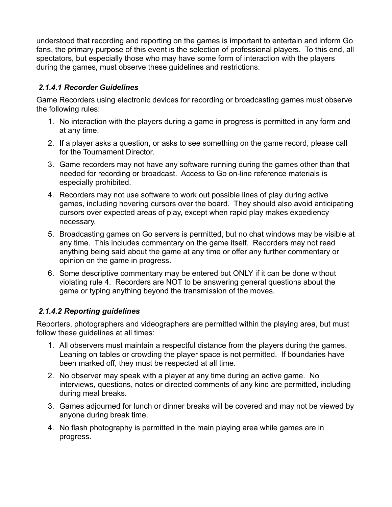understood that recording and reporting on the games is important to entertain and inform Go fans, the primary purpose of this event is the selection of professional players. To this end, all spectators, but especially those who may have some form of interaction with the players during the games, must observe these guidelines and restrictions.

#### *2.1.4.1 Recorder Guidelines*

Game Recorders using electronic devices for recording or broadcasting games must observe the following rules:

- 1. No interaction with the players during a game in progress is permitted in any form and at any time.
- 2. If a player asks a question, or asks to see something on the game record, please call for the Tournament Director.
- 3. Game recorders may not have any software running during the games other than that needed for recording or broadcast. Access to Go on-line reference materials is especially prohibited.
- 4. Recorders may not use software to work out possible lines of play during active games, including hovering cursors over the board. They should also avoid anticipating cursors over expected areas of play, except when rapid play makes expediency necessary.
- 5. Broadcasting games on Go servers is permitted, but no chat windows may be visible at any time. This includes commentary on the game itself. Recorders may not read anything being said about the game at any time or offer any further commentary or opinion on the game in progress.
- 6. Some descriptive commentary may be entered but ONLY if it can be done without violating rule 4. Recorders are NOT to be answering general questions about the game or typing anything beyond the transmission of the moves.

#### *2.1.4.2 Reporting guidelines*

Reporters, photographers and videographers are permitted within the playing area, but must follow these guidelines at all times:

- 1. All observers must maintain a respectful distance from the players during the games. Leaning on tables or crowding the player space is not permitted. If boundaries have been marked off, they must be respected at all time.
- 2. No observer may speak with a player at any time during an active game. No interviews, questions, notes or directed comments of any kind are permitted, including during meal breaks.
- 3. Games adjourned for lunch or dinner breaks will be covered and may not be viewed by anyone during break time.
- 4. No flash photography is permitted in the main playing area while games are in progress.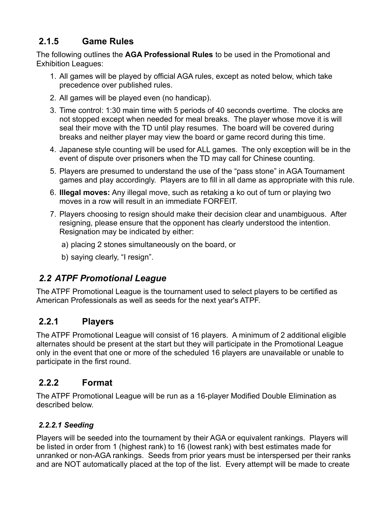## **2.1.5 Game Rules**

The following outlines the **AGA Professional Rules** to be used in the Promotional and Exhibition Leagues:

- 1. All games will be played by official AGA rules, except as noted below, which take precedence over published rules.
- 2. All games will be played even (no handicap).
- 3. Time control: 1:30 main time with 5 periods of 40 seconds overtime. The clocks are not stopped except when needed for meal breaks. The player whose move it is will seal their move with the TD until play resumes. The board will be covered during breaks and neither player may view the board or game record during this time.
- 4. Japanese style counting will be used for ALL games. The only exception will be in the event of dispute over prisoners when the TD may call for Chinese counting.
- 5. Players are presumed to understand the use of the "pass stone" in AGA Tournament games and play accordingly. Players are to fill in all dame as appropriate with this rule.
- 6. **Illegal moves:** Any illegal move, such as retaking a ko out of turn or playing two moves in a row will result in an immediate FORFEIT.
- 7. Players choosing to resign should make their decision clear and unambiguous. After resigning, please ensure that the opponent has clearly understood the intention. Resignation may be indicated by either:
	- a) placing 2 stones simultaneously on the board, or
	- b) saying clearly, "I resign".

### *2.2 ATPF Promotional League*

The ATPF Promotional League is the tournament used to select players to be certified as American Professionals as well as seeds for the next year's ATPF.

### **2.2.1 Players**

The ATPF Promotional League will consist of 16 players. A minimum of 2 additional eligible alternates should be present at the start but they will participate in the Promotional League only in the event that one or more of the scheduled 16 players are unavailable or unable to participate in the first round.

### **2.2.2 Format**

The ATPF Promotional League will be run as a 16-player Modified Double Elimination as described below.

### *2.2.2.1 Seeding*

Players will be seeded into the tournament by their AGA or equivalent rankings. Players will be listed in order from 1 (highest rank) to 16 (lowest rank) with best estimates made for unranked or non-AGA rankings. Seeds from prior years must be interspersed per their ranks and are NOT automatically placed at the top of the list. Every attempt will be made to create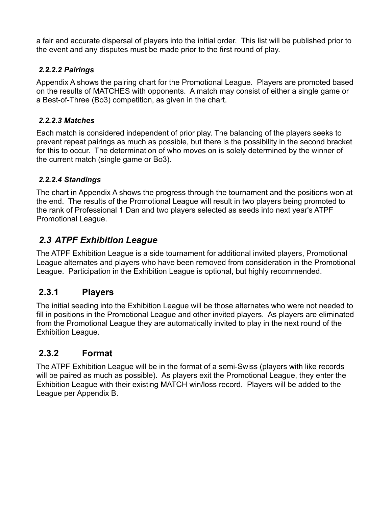a fair and accurate dispersal of players into the initial order. This list will be published prior to the event and any disputes must be made prior to the first round of play.

#### *2.2.2.2 Pairings*

Appendix A shows the pairing chart for the Promotional League. Players are promoted based on the results of MATCHES with opponents. A match may consist of either a single game or a Best-of-Three (Bo3) competition, as given in the chart.

#### *2.2.2.3 Matches*

Each match is considered independent of prior play. The balancing of the players seeks to prevent repeat pairings as much as possible, but there is the possibility in the second bracket for this to occur. The determination of who moves on is solely determined by the winner of the current match (single game or Bo3).

### *2.2.2.4 Standings*

The chart in Appendix A shows the progress through the tournament and the positions won at the end. The results of the Promotional League will result in two players being promoted to the rank of Professional 1 Dan and two players selected as seeds into next year's ATPF Promotional League.

### *2.3 ATPF Exhibition League*

The ATPF Exhibition League is a side tournament for additional invited players, Promotional League alternates and players who have been removed from consideration in the Promotional League. Participation in the Exhibition League is optional, but highly recommended.

### **2.3.1 Players**

The initial seeding into the Exhibition League will be those alternates who were not needed to fill in positions in the Promotional League and other invited players. As players are eliminated from the Promotional League they are automatically invited to play in the next round of the Exhibition League.

### **2.3.2 Format**

The ATPF Exhibition League will be in the format of a semi-Swiss (players with like records will be paired as much as possible). As players exit the Promotional League, they enter the Exhibition League with their existing MATCH win/loss record. Players will be added to the League per Appendix B.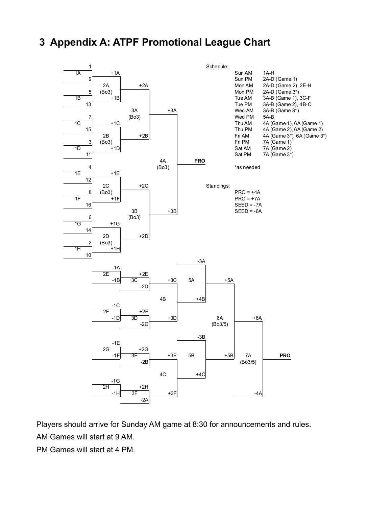## **3 Appendix A: ATPF Promotional League Chart**



Players should arrive for Sunday AM game at 8:30 for announcements and rules.

AM Games will start at 9 AM.

PM Games will start at 4 PM.